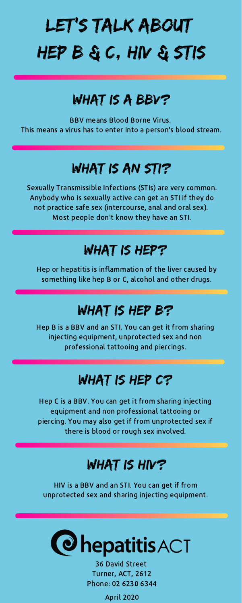## Let's talk about hep B & C, HIV & STIs

### WHAT IS A BBV?

Sexually Transmissible Infections (STIs) are very common. Anybody who is sexually active can get an STI if they do not practice safe sex (intercourse, anal and oral sex). Most people don't know they have an STI.

### WHAT IS HEP?

Hep C is a BBV. You can get it from sharing injecting equipment and non professional tattooing or piercing. You may also get if from unprotected sex if there is blood or rough sex involved.

#### WHAT IS HIV?

Hep B is a BBV and an STI. You can get it from sharing injecting equipment, unprotected sex and non professional tattooing and piercings.

#### WHAT IS HEP C?

HIV is a BBV and an STI. You can get if from unprotected sex and sharing injecting equipment.

# **@hepatitisACT**

BBV means Blood Borne Virus. This means a virus has to enter into a person's blood stream.

### WHAT IS AN STI?

Hep or hepatitis is inflammation of the liver caused by something like hep B or C, alcohol and other drugs.

### WHAT IS HEP B?

36 David Street Turner, ACT, 2612 Phone: 02 6230 6344

April 2020